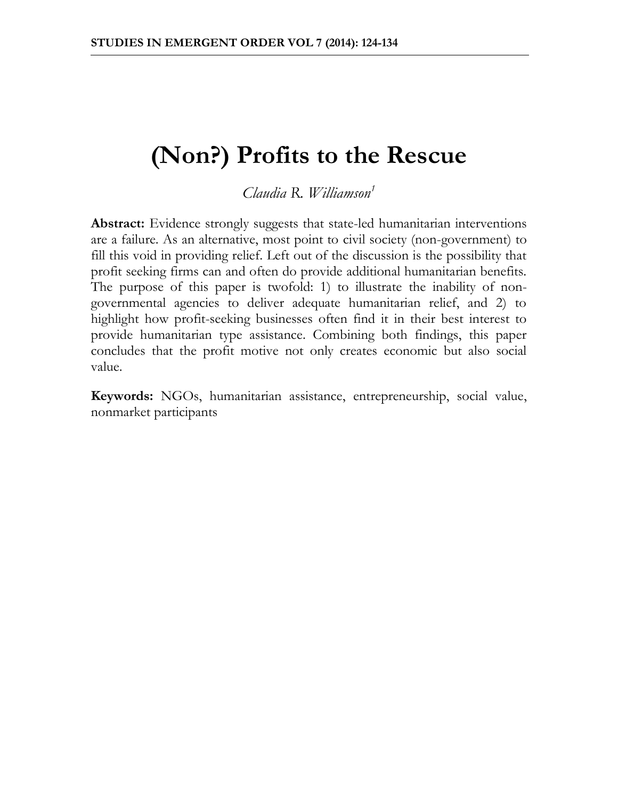# **(Non?) Profits to the Rescue**

*Claudia R. Williamson<sup>1</sup>*

Abstract: Evidence strongly suggests that state-led humanitarian interventions are a failure. As an alternative, most point to civil society (non-government) to fill this void in providing relief. Left out of the discussion is the possibility that profit seeking firms can and often do provide additional humanitarian benefits. The purpose of this paper is twofold: 1) to illustrate the inability of nongovernmental agencies to deliver adequate humanitarian relief, and 2) to highlight how profit-seeking businesses often find it in their best interest to provide humanitarian type assistance. Combining both findings, this paper concludes that the profit motive not only creates economic but also social value.

**Keywords:** NGOs, humanitarian assistance, entrepreneurship, social value, nonmarket participants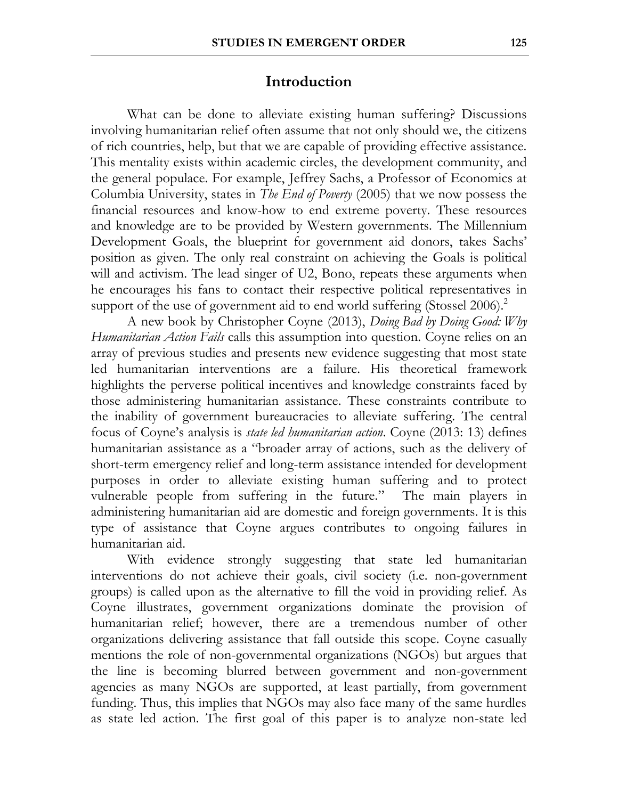### **Introduction**

What can be done to alleviate existing human suffering? Discussions involving humanitarian relief often assume that not only should we, the citizens of rich countries, help, but that we are capable of providing effective assistance. This mentality exists within academic circles, the development community, and the general populace. For example, Jeffrey Sachs, a Professor of Economics at Columbia University, states in *The End of Poverty* (2005) that we now possess the financial resources and know-how to end extreme poverty. These resources and knowledge are to be provided by Western governments. The Millennium Development Goals, the blueprint for government aid donors, takes Sachs' position as given. The only real constraint on achieving the Goals is political will and activism. The lead singer of U2, Bono, repeats these arguments when he encourages his fans to contact their respective political representatives in support of the use of government aid to end world suffering (Stossel 2006).<sup>2</sup>

A new book by Christopher Coyne (2013), *Doing Bad by Doing Good: Why Humanitarian Action Fails* calls this assumption into question. Coyne relies on an array of previous studies and presents new evidence suggesting that most state led humanitarian interventions are a failure. His theoretical framework highlights the perverse political incentives and knowledge constraints faced by those administering humanitarian assistance. These constraints contribute to the inability of government bureaucracies to alleviate suffering. The central focus of Coyne's analysis is *state led humanitarian action*. Coyne (2013: 13) defines humanitarian assistance as a "broader array of actions, such as the delivery of short-term emergency relief and long-term assistance intended for development purposes in order to alleviate existing human suffering and to protect vulnerable people from suffering in the future." The main players in administering humanitarian aid are domestic and foreign governments. It is this type of assistance that Coyne argues contributes to ongoing failures in humanitarian aid.

With evidence strongly suggesting that state led humanitarian interventions do not achieve their goals, civil society (i.e. non-government groups) is called upon as the alternative to fill the void in providing relief. As Coyne illustrates, government organizations dominate the provision of humanitarian relief; however, there are a tremendous number of other organizations delivering assistance that fall outside this scope. Coyne casually mentions the role of non-governmental organizations (NGOs) but argues that the line is becoming blurred between government and non-government agencies as many NGOs are supported, at least partially, from government funding. Thus, this implies that NGOs may also face many of the same hurdles as state led action. The first goal of this paper is to analyze non-state led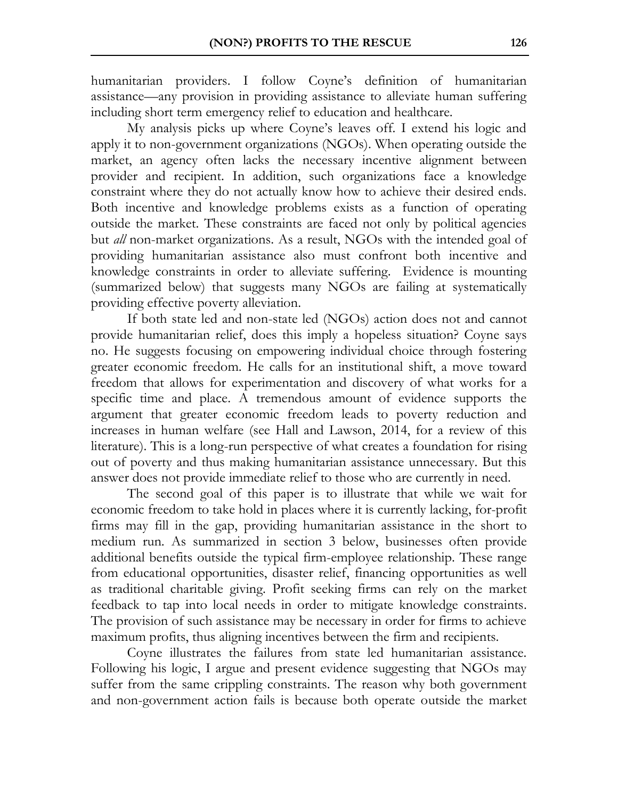humanitarian providers. I follow Coyne's definition of humanitarian assistance—any provision in providing assistance to alleviate human suffering including short term emergency relief to education and healthcare.

My analysis picks up where Coyne's leaves off. I extend his logic and apply it to non-government organizations (NGOs). When operating outside the market, an agency often lacks the necessary incentive alignment between provider and recipient. In addition, such organizations face a knowledge constraint where they do not actually know how to achieve their desired ends. Both incentive and knowledge problems exists as a function of operating outside the market. These constraints are faced not only by political agencies but *all* non-market organizations. As a result, NGOs with the intended goal of providing humanitarian assistance also must confront both incentive and knowledge constraints in order to alleviate suffering. Evidence is mounting (summarized below) that suggests many NGOs are failing at systematically providing effective poverty alleviation.

If both state led and non-state led (NGOs) action does not and cannot provide humanitarian relief, does this imply a hopeless situation? Coyne says no. He suggests focusing on empowering individual choice through fostering greater economic freedom. He calls for an institutional shift, a move toward freedom that allows for experimentation and discovery of what works for a specific time and place. A tremendous amount of evidence supports the argument that greater economic freedom leads to poverty reduction and increases in human welfare (see Hall and Lawson, 2014, for a review of this literature). This is a long-run perspective of what creates a foundation for rising out of poverty and thus making humanitarian assistance unnecessary. But this answer does not provide immediate relief to those who are currently in need.

The second goal of this paper is to illustrate that while we wait for economic freedom to take hold in places where it is currently lacking, for-profit firms may fill in the gap, providing humanitarian assistance in the short to medium run. As summarized in section 3 below, businesses often provide additional benefits outside the typical firm-employee relationship. These range from educational opportunities, disaster relief, financing opportunities as well as traditional charitable giving. Profit seeking firms can rely on the market feedback to tap into local needs in order to mitigate knowledge constraints. The provision of such assistance may be necessary in order for firms to achieve maximum profits, thus aligning incentives between the firm and recipients.

Coyne illustrates the failures from state led humanitarian assistance. Following his logic, I argue and present evidence suggesting that NGOs may suffer from the same crippling constraints. The reason why both government and non-government action fails is because both operate outside the market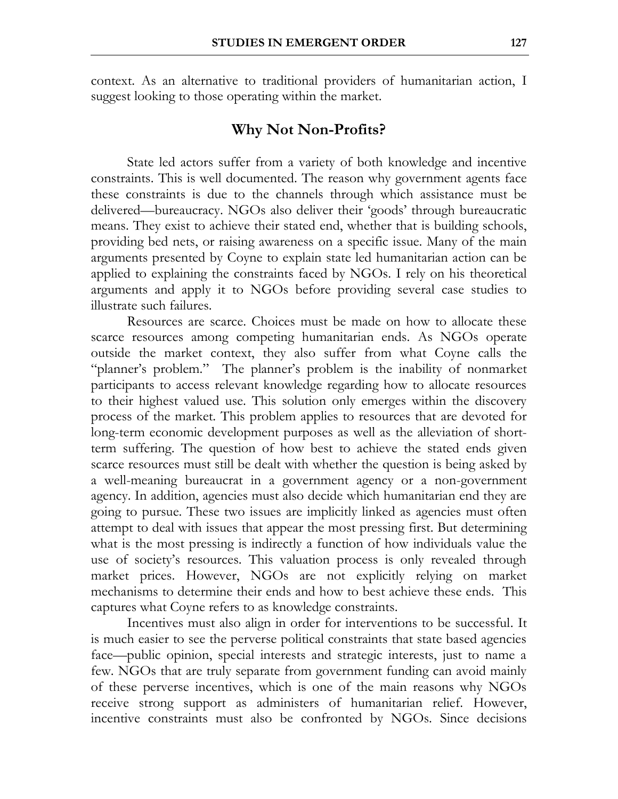context. As an alternative to traditional providers of humanitarian action, I suggest looking to those operating within the market.

## **Why Not Non-Profits?**

State led actors suffer from a variety of both knowledge and incentive constraints. This is well documented. The reason why government agents face these constraints is due to the channels through which assistance must be delivered—bureaucracy. NGOs also deliver their 'goods' through bureaucratic means. They exist to achieve their stated end, whether that is building schools, providing bed nets, or raising awareness on a specific issue. Many of the main arguments presented by Coyne to explain state led humanitarian action can be applied to explaining the constraints faced by NGOs. I rely on his theoretical arguments and apply it to NGOs before providing several case studies to illustrate such failures.

Resources are scarce. Choices must be made on how to allocate these scarce resources among competing humanitarian ends. As NGOs operate outside the market context, they also suffer from what Coyne calls the "planner's problem." The planner's problem is the inability of nonmarket participants to access relevant knowledge regarding how to allocate resources to their highest valued use. This solution only emerges within the discovery process of the market. This problem applies to resources that are devoted for long-term economic development purposes as well as the alleviation of shortterm suffering. The question of how best to achieve the stated ends given scarce resources must still be dealt with whether the question is being asked by a well-meaning bureaucrat in a government agency or a non-government agency. In addition, agencies must also decide which humanitarian end they are going to pursue. These two issues are implicitly linked as agencies must often attempt to deal with issues that appear the most pressing first. But determining what is the most pressing is indirectly a function of how individuals value the use of society's resources. This valuation process is only revealed through market prices. However, NGOs are not explicitly relying on market mechanisms to determine their ends and how to best achieve these ends. This captures what Coyne refers to as knowledge constraints.

Incentives must also align in order for interventions to be successful. It is much easier to see the perverse political constraints that state based agencies face—public opinion, special interests and strategic interests, just to name a few. NGOs that are truly separate from government funding can avoid mainly of these perverse incentives, which is one of the main reasons why NGOs receive strong support as administers of humanitarian relief. However, incentive constraints must also be confronted by NGOs. Since decisions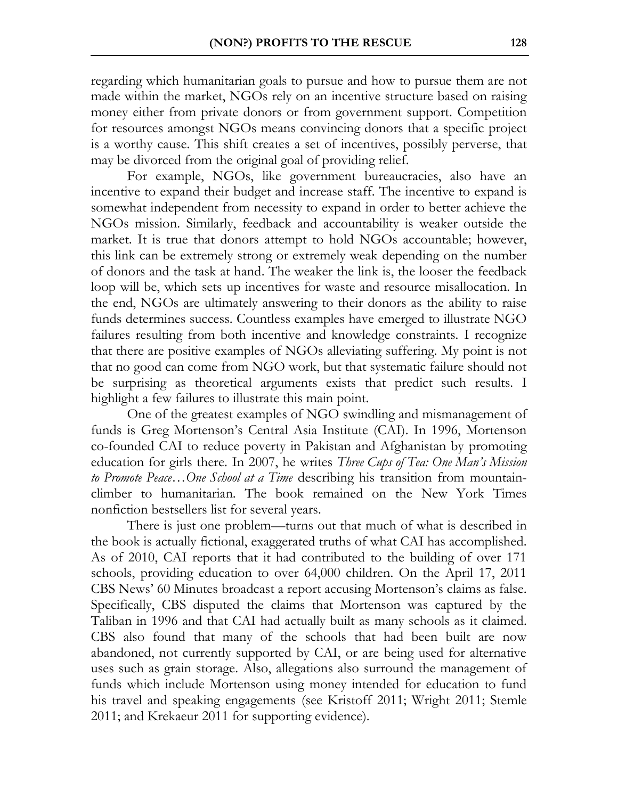regarding which humanitarian goals to pursue and how to pursue them are not made within the market, NGOs rely on an incentive structure based on raising money either from private donors or from government support. Competition for resources amongst NGOs means convincing donors that a specific project is a worthy cause. This shift creates a set of incentives, possibly perverse, that may be divorced from the original goal of providing relief.

For example, NGOs, like government bureaucracies, also have an incentive to expand their budget and increase staff. The incentive to expand is somewhat independent from necessity to expand in order to better achieve the NGOs mission. Similarly, feedback and accountability is weaker outside the market. It is true that donors attempt to hold NGOs accountable; however, this link can be extremely strong or extremely weak depending on the number of donors and the task at hand. The weaker the link is, the looser the feedback loop will be, which sets up incentives for waste and resource misallocation. In the end, NGOs are ultimately answering to their donors as the ability to raise funds determines success. Countless examples have emerged to illustrate NGO failures resulting from both incentive and knowledge constraints. I recognize that there are positive examples of NGOs alleviating suffering. My point is not that no good can come from NGO work, but that systematic failure should not be surprising as theoretical arguments exists that predict such results. I highlight a few failures to illustrate this main point.

One of the greatest examples of NGO swindling and mismanagement of funds is Greg Mortenson's Central Asia Institute (CAI). In 1996, Mortenson co-founded CAI to reduce poverty in Pakistan and Afghanistan by promoting education for girls there. In 2007, he writes *Three Cups of Tea: One Man's Mission to Promote Peace…One School at a Time* describing his transition from mountainclimber to humanitarian. The book remained on the New York Times nonfiction bestsellers list for several years.

There is just one problem—turns out that much of what is described in the book is actually fictional, exaggerated truths of what CAI has accomplished. As of 2010, CAI reports that it had contributed to the building of over 171 schools, providing education to over 64,000 children. On the April 17, 2011 CBS News' 60 Minutes broadcast a report accusing Mortenson's claims as false. Specifically, CBS disputed the claims that Mortenson was captured by the Taliban in 1996 and that CAI had actually built as many schools as it claimed. CBS also found that many of the schools that had been built are now abandoned, not currently supported by CAI, or are being used for alternative uses such as grain storage. Also, allegations also surround the management of funds which include Mortenson using money intended for education to fund his travel and speaking engagements (see Kristoff 2011; Wright 2011; Stemle 2011; and Krekaeur 2011 for supporting evidence).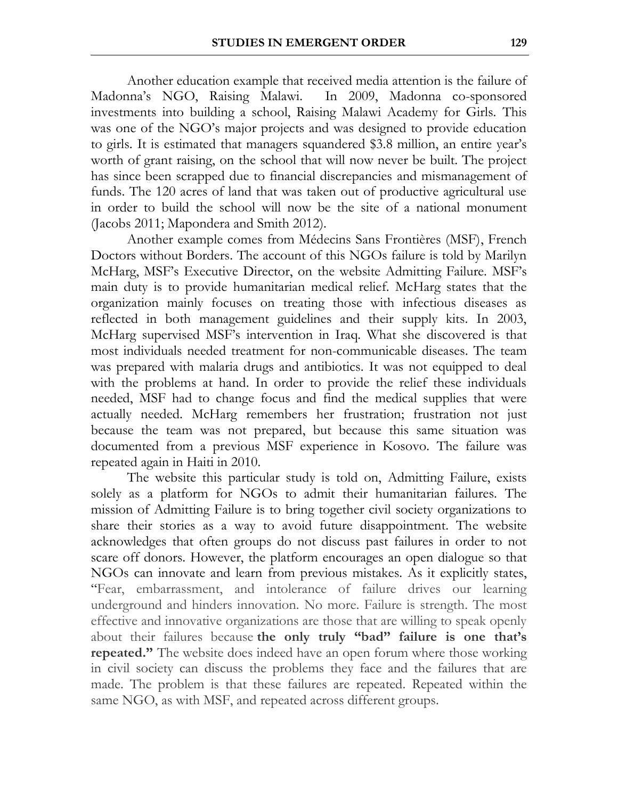Another education example that received media attention is the failure of Madonna's NGO, Raising Malawi. In 2009, Madonna co-sponsored investments into building a school, Raising Malawi Academy for Girls. This was one of the NGO's major projects and was designed to provide education to girls. It is estimated that managers squandered \$3.8 million, an entire year's worth of grant raising, on the school that will now never be built. The project has since been scrapped due to financial discrepancies and mismanagement of funds. The 120 acres of land that was taken out of productive agricultural use in order to build the school will now be the site of a national monument (Jacobs 2011; Mapondera and Smith 2012).

Another example comes from Médecins Sans Frontières (MSF), French Doctors without Borders. The account of this NGOs failure is told by Marilyn McHarg, MSF's Executive Director, on the website Admitting Failure. MSF's main duty is to provide humanitarian medical relief. McHarg states that the organization mainly focuses on treating those with infectious diseases as reflected in both management guidelines and their supply kits. In 2003, McHarg supervised MSF's intervention in Iraq. What she discovered is that most individuals needed treatment for non-communicable diseases. The team was prepared with malaria drugs and antibiotics. It was not equipped to deal with the problems at hand. In order to provide the relief these individuals needed, MSF had to change focus and find the medical supplies that were actually needed. McHarg remembers her frustration; frustration not just because the team was not prepared, but because this same situation was documented from a previous MSF experience in Kosovo. The failure was repeated again in Haiti in 2010.

The website this particular study is told on, Admitting Failure, exists solely as a platform for NGOs to admit their humanitarian failures. The mission of Admitting Failure is to bring together civil society organizations to share their stories as a way to avoid future disappointment. The website acknowledges that often groups do not discuss past failures in order to not scare off donors. However, the platform encourages an open dialogue so that NGOs can innovate and learn from previous mistakes. As it explicitly states, "Fear, embarrassment, and intolerance of failure drives our learning underground and hinders innovation. No more. Failure is strength. The most effective and innovative organizations are those that are willing to speak openly about their failures because **the only truly "bad" failure is one that's repeated."** The website does indeed have an open forum where those working in civil society can discuss the problems they face and the failures that are made. The problem is that these failures are repeated. Repeated within the same NGO, as with MSF, and repeated across different groups.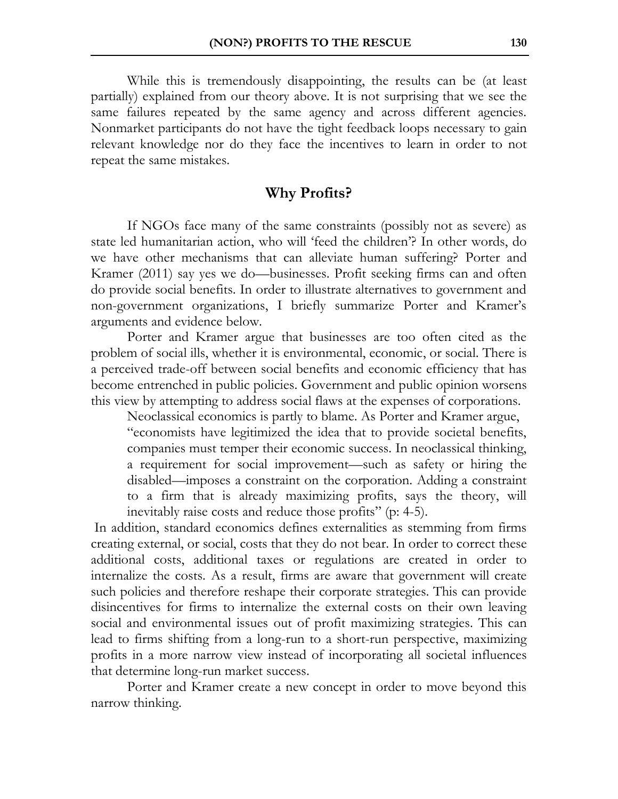While this is tremendously disappointing, the results can be (at least partially) explained from our theory above. It is not surprising that we see the same failures repeated by the same agency and across different agencies. Nonmarket participants do not have the tight feedback loops necessary to gain relevant knowledge nor do they face the incentives to learn in order to not repeat the same mistakes.

### **Why Profits?**

If NGOs face many of the same constraints (possibly not as severe) as state led humanitarian action, who will 'feed the children'? In other words, do we have other mechanisms that can alleviate human suffering? Porter and Kramer (2011) say yes we do—businesses. Profit seeking firms can and often do provide social benefits. In order to illustrate alternatives to government and non-government organizations, I briefly summarize Porter and Kramer's arguments and evidence below.

Porter and Kramer argue that businesses are too often cited as the problem of social ills, whether it is environmental, economic, or social. There is a perceived trade-off between social benefits and economic efficiency that has become entrenched in public policies. Government and public opinion worsens this view by attempting to address social flaws at the expenses of corporations.

Neoclassical economics is partly to blame. As Porter and Kramer argue, "economists have legitimized the idea that to provide societal benefits, companies must temper their economic success. In neoclassical thinking, a requirement for social improvement—such as safety or hiring the disabled—imposes a constraint on the corporation. Adding a constraint to a firm that is already maximizing profits, says the theory, will inevitably raise costs and reduce those profits" (p: 4-5).

In addition, standard economics defines externalities as stemming from firms creating external, or social, costs that they do not bear. In order to correct these additional costs, additional taxes or regulations are created in order to internalize the costs. As a result, firms are aware that government will create such policies and therefore reshape their corporate strategies. This can provide disincentives for firms to internalize the external costs on their own leaving social and environmental issues out of profit maximizing strategies. This can lead to firms shifting from a long-run to a short-run perspective, maximizing profits in a more narrow view instead of incorporating all societal influences that determine long-run market success.

Porter and Kramer create a new concept in order to move beyond this narrow thinking.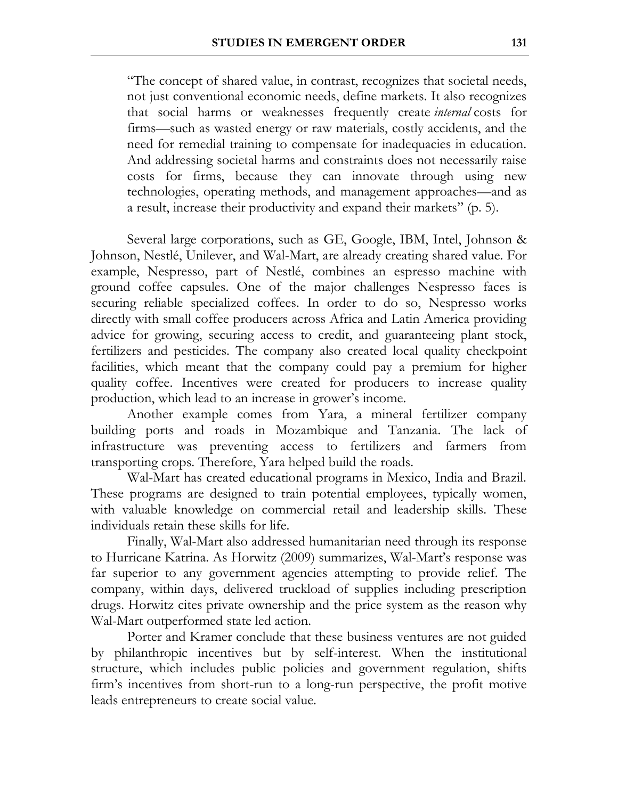"The concept of shared value, in contrast, recognizes that societal needs, not just conventional economic needs, define markets. It also recognizes that social harms or weaknesses frequently create *internal* costs for firms—such as wasted energy or raw materials, costly accidents, and the need for remedial training to compensate for inadequacies in education. And addressing societal harms and constraints does not necessarily raise costs for firms, because they can innovate through using new technologies, operating methods, and management approaches—and as a result, increase their productivity and expand their markets" (p. 5).

Several large corporations, such as GE, Google, IBM, Intel, Johnson & Johnson, Nestlé, Unilever, and Wal-Mart, are already creating shared value. For example, Nespresso, part of Nestlé, combines an espresso machine with ground coffee capsules. One of the major challenges Nespresso faces is securing reliable specialized coffees. In order to do so, Nespresso works directly with small coffee producers across Africa and Latin America providing advice for growing, securing access to credit, and guaranteeing plant stock, fertilizers and pesticides. The company also created local quality checkpoint facilities, which meant that the company could pay a premium for higher quality coffee. Incentives were created for producers to increase quality production, which lead to an increase in grower's income.

Another example comes from Yara, a mineral fertilizer company building ports and roads in Mozambique and Tanzania. The lack of infrastructure was preventing access to fertilizers and farmers from transporting crops. Therefore, Yara helped build the roads.

Wal-Mart has created educational programs in Mexico, India and Brazil. These programs are designed to train potential employees, typically women, with valuable knowledge on commercial retail and leadership skills. These individuals retain these skills for life.

Finally, Wal-Mart also addressed humanitarian need through its response to Hurricane Katrina. As Horwitz (2009) summarizes, Wal-Mart's response was far superior to any government agencies attempting to provide relief. The company, within days, delivered truckload of supplies including prescription drugs. Horwitz cites private ownership and the price system as the reason why Wal-Mart outperformed state led action.

Porter and Kramer conclude that these business ventures are not guided by philanthropic incentives but by self-interest. When the institutional structure, which includes public policies and government regulation, shifts firm's incentives from short-run to a long-run perspective, the profit motive leads entrepreneurs to create social value.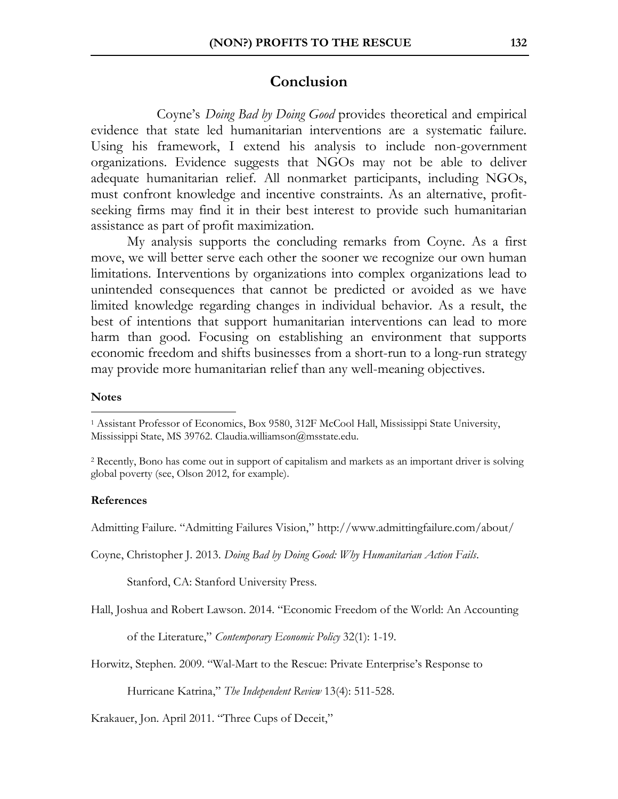## **Conclusion**

Coyne's *Doing Bad by Doing Good* provides theoretical and empirical evidence that state led humanitarian interventions are a systematic failure. Using his framework, I extend his analysis to include non-government organizations. Evidence suggests that NGOs may not be able to deliver adequate humanitarian relief. All nonmarket participants, including NGOs, must confront knowledge and incentive constraints. As an alternative, profitseeking firms may find it in their best interest to provide such humanitarian assistance as part of profit maximization.

My analysis supports the concluding remarks from Coyne. As a first move, we will better serve each other the sooner we recognize our own human limitations. Interventions by organizations into complex organizations lead to unintended consequences that cannot be predicted or avoided as we have limited knowledge regarding changes in individual behavior. As a result, the best of intentions that support humanitarian interventions can lead to more harm than good. Focusing on establishing an environment that supports economic freedom and shifts businesses from a short-run to a long-run strategy may provide more humanitarian relief than any well-meaning objectives.

#### **Notes**

 $\overline{a}$ 

#### **References**

Admitting Failure. "Admitting Failures Vision," http://www.admittingfailure.com/about/

Coyne, Christopher J. 2013. *Doing Bad by Doing Good: Why Humanitarian Action Fails*.

Stanford, CA: Stanford University Press.

Hall, Joshua and Robert Lawson. 2014. "Economic Freedom of the World: An Accounting

of the Literature," *Contemporary Economic Policy* 32(1): 1-19.

Horwitz, Stephen. 2009. "Wal-Mart to the Rescue: Private Enterprise's Response to

Hurricane Katrina," *The Independent Review* 13(4): 511-528.

Krakauer, Jon. April 2011. "Three Cups of Deceit,"

<sup>1</sup> Assistant Professor of Economics, Box 9580, 312F McCool Hall, Mississippi State University, Mississippi State, MS 39762. Claudia.williamson@msstate.edu.

<sup>2</sup> Recently, Bono has come out in support of capitalism and markets as an important driver is solving global poverty (see, Olson 2012, for example).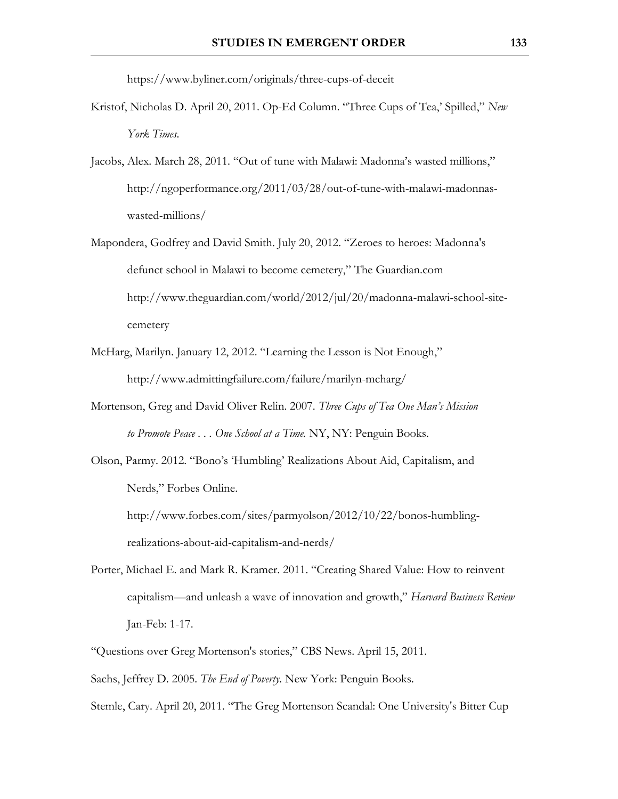https://www.byliner.com/originals/three-cups-of-deceit

- Kristof, Nicholas D. April 20, 2011. Op-Ed Column. "Three Cups of Tea,' Spilled," *New York Times*.
- Jacobs, Alex. March 28, 2011. "Out of tune with Malawi: Madonna's wasted millions," http://ngoperformance.org/2011/03/28/out-of-tune-with-malawi-madonnaswasted-millions/
- Mapondera, Godfrey and David Smith. July 20, 2012. "Zeroes to heroes: Madonna's defunct school in Malawi to become cemetery," The Guardian.com http://www.theguardian.com/world/2012/jul/20/madonna-malawi-school-sitecemetery
- McHarg, Marilyn. January 12, 2012. "Learning the Lesson is Not Enough," http://www.admittingfailure.com/failure/marilyn-mcharg/
- Mortenson, Greg and David Oliver Relin. 2007. *Three Cups of Tea One Man's Mission to Promote Peace . . . One School at a Time.* NY, NY: Penguin Books.
- Olson, Parmy. 2012. "Bono's 'Humbling' Realizations About Aid, Capitalism, and Nerds," Forbes Online.

http://www.forbes.com/sites/parmyolson/2012/10/22/bonos-humblingrealizations-about-aid-capitalism-and-nerds/

- Porter, Michael E. and Mark R. Kramer. 2011. "Creating Shared Value: How to reinvent capitalism—and unleash a wave of innovation and growth," *Harvard Business Review* Jan-Feb: 1-17.
- "Questions over Greg Mortenson's stories," CBS News. April 15, 2011. Sachs, Jeffrey D. 2005. *The End of Poverty*. New York: Penguin Books.
- Stemle, Cary. April 20, 2011. "The Greg Mortenson Scandal: One University's Bitter Cup